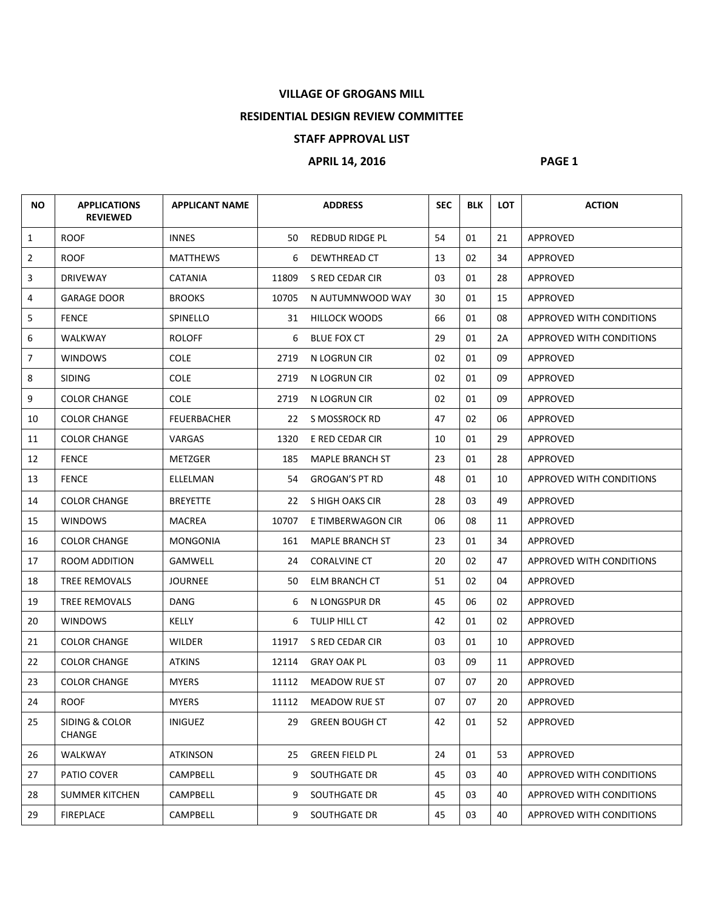## **VILLAGE OF GROGANS MILL**

## **RESIDENTIAL DESIGN REVIEW COMMITTEE**

## **STAFF APPROVAL LIST**

## **APRIL 14, 2016 PAGE 1**

| NO.            | <b>APPLICATIONS</b><br><b>REVIEWED</b> | <b>APPLICANT NAME</b> |       | <b>ADDRESS</b>         | <b>SEC</b> | <b>BLK</b> | <b>LOT</b> | <b>ACTION</b>            |
|----------------|----------------------------------------|-----------------------|-------|------------------------|------------|------------|------------|--------------------------|
| $\mathbf{1}$   | <b>ROOF</b>                            | <b>INNES</b>          | 50    | <b>REDBUD RIDGE PL</b> | 54         | 01         | 21         | APPROVED                 |
| $\overline{2}$ | <b>ROOF</b>                            | MATTHEWS              | 6     | DEWTHREAD CT           | 13         | 02         | 34         | APPROVED                 |
| 3              | <b>DRIVEWAY</b>                        | <b>CATANIA</b>        | 11809 | S RED CEDAR CIR        | 03         | 01         | 28         | APPROVED                 |
| 4              | <b>GARAGE DOOR</b>                     | <b>BROOKS</b>         | 10705 | N AUTUMNWOOD WAY       | 30         | 01         | 15         | APPROVED                 |
| 5              | <b>FENCE</b>                           | SPINELLO              | 31    | <b>HILLOCK WOODS</b>   | 66         | 01         | 08         | APPROVED WITH CONDITIONS |
| 6              | WALKWAY                                | <b>ROLOFF</b>         | 6     | <b>BLUE FOX CT</b>     | 29         | 01         | 2A         | APPROVED WITH CONDITIONS |
| $\overline{7}$ | <b>WINDOWS</b>                         | <b>COLE</b>           | 2719  | N LOGRUN CIR           | 02         | 01         | 09         | APPROVED                 |
| 8              | <b>SIDING</b>                          | <b>COLE</b>           | 2719  | N LOGRUN CIR           | 02         | 01         | 09         | APPROVED                 |
| 9              | <b>COLOR CHANGE</b>                    | <b>COLE</b>           | 2719  | N LOGRUN CIR           | 02         | 01         | 09         | APPROVED                 |
| 10             | <b>COLOR CHANGE</b>                    | <b>FEUERBACHER</b>    | 22    | S MOSSROCK RD          | 47         | 02         | 06         | APPROVED                 |
| 11             | <b>COLOR CHANGE</b>                    | VARGAS                | 1320  | E RED CEDAR CIR        | 10         | 01         | 29         | APPROVED                 |
| 12             | <b>FENCE</b>                           | METZGER               | 185   | <b>MAPLE BRANCH ST</b> | 23         | 01         | 28         | <b>APPROVED</b>          |
| 13             | <b>FENCE</b>                           | ELLELMAN              | 54    | <b>GROGAN'S PT RD</b>  | 48         | 01         | 10         | APPROVED WITH CONDITIONS |
| 14             | <b>COLOR CHANGE</b>                    | <b>BREYETTE</b>       | 22    | S HIGH OAKS CIR        | 28         | 03         | 49         | APPROVED                 |
| 15             | <b>WINDOWS</b>                         | MACREA                | 10707 | E TIMBERWAGON CIR      | 06         | 08         | 11         | APPROVED                 |
| 16             | <b>COLOR CHANGE</b>                    | MONGONIA              | 161   | <b>MAPLE BRANCH ST</b> | 23         | 01         | 34         | APPROVED                 |
| 17             | ROOM ADDITION                          | GAMWELL               | 24    | <b>CORALVINE CT</b>    | 20         | 02         | 47         | APPROVED WITH CONDITIONS |
| 18             | TREE REMOVALS                          | <b>JOURNEE</b>        | 50    | ELM BRANCH CT          | 51         | 02         | 04         | <b>APPROVED</b>          |
| 19             | TREE REMOVALS                          | DANG                  | 6     | N LONGSPUR DR          | 45         | 06         | 02         | APPROVED                 |
| 20             | <b>WINDOWS</b>                         | KELLY                 | 6     | TULIP HILL CT          | 42         | 01         | 02         | APPROVED                 |
| 21             | <b>COLOR CHANGE</b>                    | WILDER                | 11917 | S RED CEDAR CIR        | 03         | 01         | 10         | APPROVED                 |
| 22             | <b>COLOR CHANGE</b>                    | <b>ATKINS</b>         | 12114 | <b>GRAY OAK PL</b>     | 03         | 09         | 11         | APPROVED                 |
| 23             | <b>COLOR CHANGE</b>                    | <b>MYERS</b>          | 11112 | MEADOW RUE ST          | 07         | 07         | 20         | APPROVED                 |
| 24             | <b>ROOF</b>                            | <b>MYERS</b>          | 11112 | MEADOW RUE ST          | 07         | 07         | 20         | APPROVED                 |
| 25             | SIDING & COLOR<br><b>CHANGE</b>        | <b>INIGUEZ</b>        | 29    | <b>GREEN BOUGH CT</b>  | 42         | 01         | 52         | APPROVED                 |
| 26             | WALKWAY                                | <b>ATKINSON</b>       | 25    | <b>GREEN FIELD PL</b>  | 24         | 01         | 53         | APPROVED                 |
| 27             | PATIO COVER                            | CAMPBELL              | 9     | SOUTHGATE DR           | 45         | 03         | 40         | APPROVED WITH CONDITIONS |
| 28             | SUMMER KITCHEN                         | CAMPBELL              | 9     | SOUTHGATE DR           | 45         | 03         | 40         | APPROVED WITH CONDITIONS |
| 29             | <b>FIREPLACE</b>                       | CAMPBELL              | 9     | SOUTHGATE DR           | 45         | 03         | 40         | APPROVED WITH CONDITIONS |